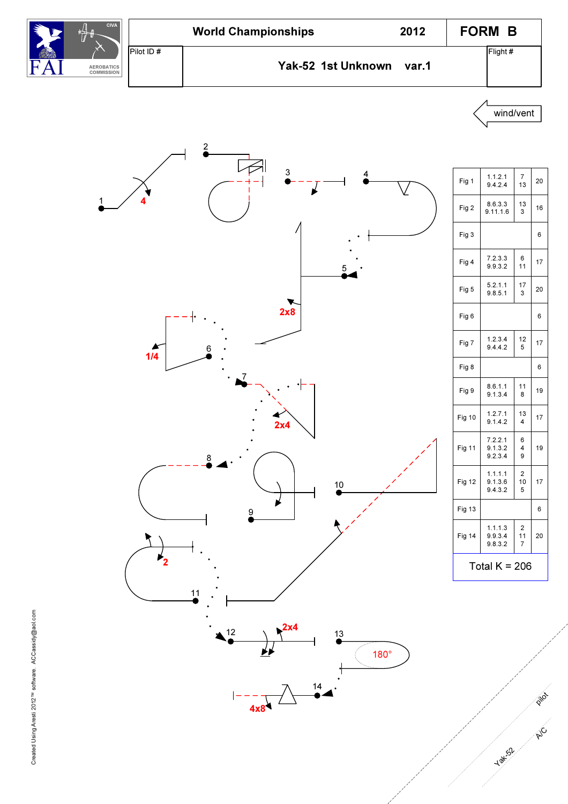





| Fig 5         | 5.2.1.1<br>9.8.5.1            | 17<br>3                   | 2(             |
|---------------|-------------------------------|---------------------------|----------------|
| Fig 6         |                               |                           | 6              |
| Fig 7         | 1.2.3.4<br>9.4.4.2            | 12<br>5                   | 17             |
| Fig 8         |                               |                           | 6              |
| Fig 9         | 8.6.1.1<br>9.1.3.4            | 11<br>8                   | 19             |
| <b>Fig 10</b> | 1.2.7.1<br>9.1.4.2            | 13<br>$\overline{4}$      | 17             |
| <b>Fig 11</b> | 7.2.2.1<br>9.1.3.2<br>9.2.3.4 | 6<br>4<br>9               | 19             |
| Fig 12        | 1.1.1.1<br>9.1.3.6<br>9.4.3.2 | 2<br>10<br>5              | 17             |
| <b>Fig 13</b> |                               |                           | 6              |
| <b>Fig 14</b> | 1.1.1.3<br>9.9.3.4<br>9.8.3.2 | $\overline{2}$<br>11<br>7 | $\overline{2}$ |
|               | Total $K = 206$               |                           |                |
|               |                               |                           |                |
|               |                               |                           |                |
|               |                               |                           |                |

wind/vent

 $\begin{array}{c|c} 7 & 20 \\ 13 & \end{array}$ 

 $\begin{array}{c|c} 6 & 17 \\ 11 & 1 \end{array}$ 

17 3 20

12 5 17

11 8 19

13 4 17

2 10 5 17

2 11 7 20

19

13 3 16

1

4

 $\overline{1/4}$ 

Yak<sub>52</sub>

p in

A/C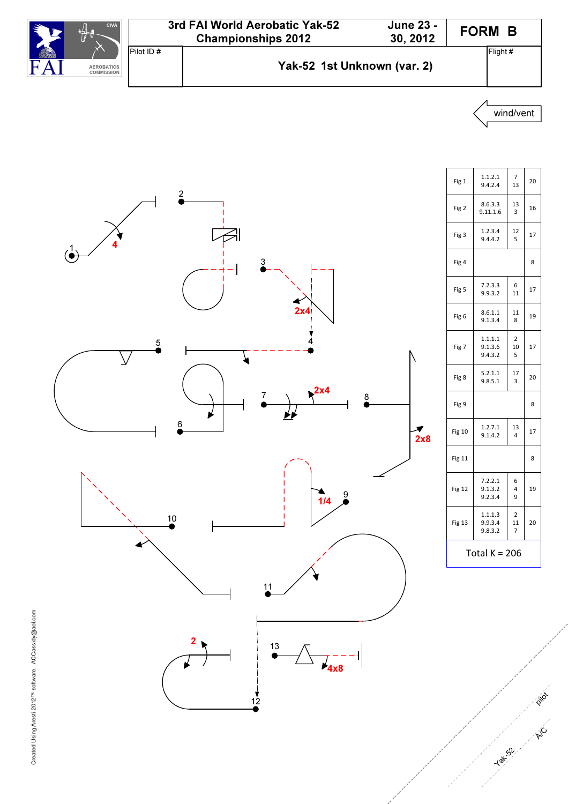